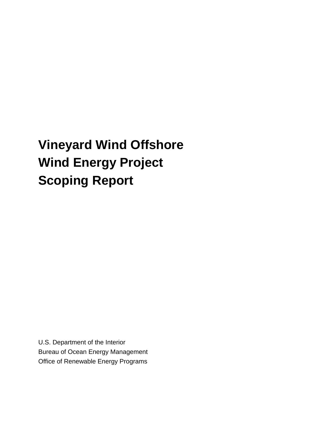# **Vineyard Wind Offshore Wind Energy Project Scoping Report**

U.S. Department of the Interior Bureau of Ocean Energy Management Office of Renewable Energy Programs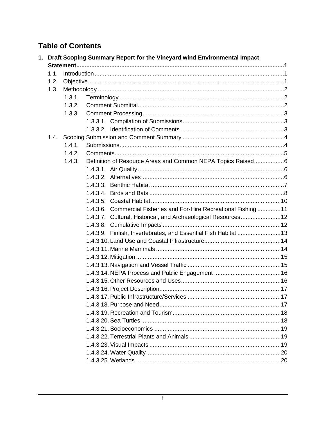# **Table of Contents**

|      |        | 1. Draft Scoping Summary Report for the Vineyard wind Environmental Impact |  |
|------|--------|----------------------------------------------------------------------------|--|
|      |        |                                                                            |  |
| 1.1. |        |                                                                            |  |
| 1.2. |        |                                                                            |  |
| 1.3. |        |                                                                            |  |
|      | 1.3.1. |                                                                            |  |
|      | 1.3.2. |                                                                            |  |
|      | 1.3.3. |                                                                            |  |
|      |        |                                                                            |  |
|      |        |                                                                            |  |
|      |        |                                                                            |  |
|      | 1.4.1. |                                                                            |  |
|      | 1.4.2. |                                                                            |  |
|      | 1.4.3. | Definition of Resource Areas and Common NEPA Topics Raised6                |  |
|      |        |                                                                            |  |
|      |        |                                                                            |  |
|      |        |                                                                            |  |
|      |        |                                                                            |  |
|      |        |                                                                            |  |
|      |        | 1.4.3.6. Commercial Fisheries and For-Hire Recreational Fishing 11         |  |
|      |        | 1.4.3.7. Cultural, Historical, and Archaeological Resources12              |  |
|      |        |                                                                            |  |
|      |        | 1.4.3.9. Finfish, Invertebrates, and Essential Fish Habitat  13            |  |
|      |        |                                                                            |  |
|      |        |                                                                            |  |
|      |        |                                                                            |  |
|      |        |                                                                            |  |
|      |        |                                                                            |  |
|      |        |                                                                            |  |
|      |        |                                                                            |  |
|      |        |                                                                            |  |
|      |        |                                                                            |  |
|      |        |                                                                            |  |
|      |        |                                                                            |  |
|      |        |                                                                            |  |
|      |        |                                                                            |  |
|      |        |                                                                            |  |
|      |        |                                                                            |  |
|      |        |                                                                            |  |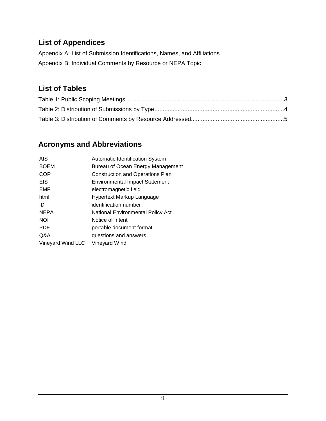# **List of Appendices**

Appendix A: List of Submission Identifications, Names, and Affiliations Appendix B: Individual Comments by Resource or NEPA Topic

## **List of Tables**

## **Acronyms and Abbreviations**

| <b>AIS</b>        | Automatic Identification System         |
|-------------------|-----------------------------------------|
| <b>BOEM</b>       | Bureau of Ocean Energy Management       |
| COP               | <b>Construction and Operations Plan</b> |
| <b>EIS</b>        | <b>Environmental Impact Statement</b>   |
| <b>EMF</b>        | electromagnetic field                   |
| html              | Hypertext Markup Language               |
| ID                | identification number                   |
| <b>NEPA</b>       | National Environmental Policy Act       |
| <b>NOI</b>        | Notice of Intent                        |
| <b>PDF</b>        | portable document format                |
| Q&A               | questions and answers                   |
| Vineyard Wind LLC | Vineyard Wind                           |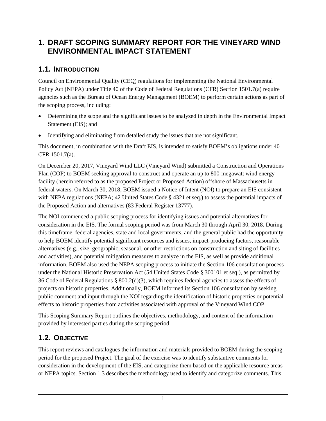## <span id="page-3-0"></span>**1. DRAFT SCOPING SUMMARY REPORT FOR THE VINEYARD WIND ENVIRONMENTAL IMPACT STATEMENT**

#### <span id="page-3-1"></span>**1.1. INTRODUCTION**

Council on Environmental Quality (CEQ) regulations for implementing the National Environmental Policy Act (NEPA) under Title 40 of the Code of Federal Regulations (CFR) Section 1501.7(a) require agencies such as the Bureau of Ocean Energy Management (BOEM) to perform certain actions as part of the scoping process, including:

- Determining the scope and the significant issues to be analyzed in depth in the Environmental Impact Statement (EIS); and
- Identifying and eliminating from detailed study the issues that are not significant.

This document, in combination with the Draft EIS, is intended to satisfy BOEM's obligations under 40 CFR 1501.7(a).

On December 20, 2017, Vineyard Wind LLC (Vineyard Wind) submitted a Construction and Operations Plan (COP) to BOEM seeking approval to construct and operate an up to 800-megawatt wind energy facility (herein referred to as the proposed Project or Proposed Action) offshore of Massachusetts in federal waters. On March 30, 2018, BOEM issued a Notice of Intent (NOI) to prepare an EIS consistent with NEPA regulations (NEPA; 42 United States Code § 4321 et seq.) to assess the potential impacts of the Proposed Action and alternatives (83 Federal Register 13777).

The NOI commenced a public scoping process for identifying issues and potential alternatives for consideration in the EIS. The formal scoping period was from March 30 through April 30, 2018. During this timeframe, federal agencies, state and local governments, and the general public had the opportunity to help BOEM identify potential significant resources and issues, impact-producing factors, reasonable alternatives (e.g., size, geographic, seasonal, or other restrictions on construction and siting of facilities and activities), and potential mitigation measures to analyze in the EIS, as well as provide additional information. BOEM also used the NEPA scoping process to initiate the Section 106 consultation process under the National Historic Preservation Act (54 United States Code § 300101 et seq.), as permitted by 36 Code of Federal Regulations § 800.2(d)(3), which requires federal agencies to assess the effects of projects on historic properties. Additionally, BOEM informed its Section 106 consultation by seeking public comment and input through the NOI regarding the identification of historic properties or potential effects to historic properties from activities associated with approval of the Vineyard Wind COP.

This Scoping Summary Report outlines the objectives, methodology, and content of the information provided by interested parties during the scoping period.

#### <span id="page-3-2"></span>**1.2. OBJECTIVE**

This report reviews and catalogues the information and materials provided to BOEM during the scoping period for the proposed Project. The goal of the exercise was to identify substantive comments for consideration in the development of the EIS, and categorize them based on the applicable resource areas or NEPA topics. Section 1.3 describes the methodology used to identify and categorize comments. This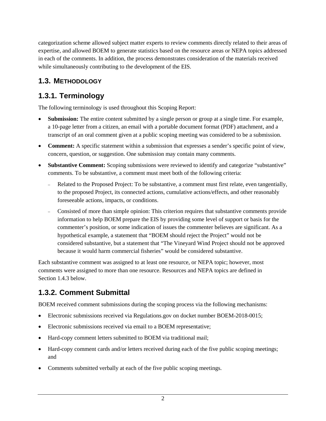categorization scheme allowed subject matter experts to review comments directly related to their areas of expertise, and allowed BOEM to generate statistics based on the resource areas or NEPA topics addressed in each of the comments. In addition, the process demonstrates consideration of the materials received while simultaneously contributing to the development of the EIS.

## <span id="page-4-0"></span>**1.3. METHODOLOGY**

## <span id="page-4-1"></span>**1.3.1. Terminology**

The following terminology is used throughout this Scoping Report:

- **Submission:** The entire content submitted by a single person or group at a single time. For example, a 10-page letter from a citizen, an email with a portable document format (PDF) attachment, and a transcript of an oral comment given at a public scoping meeting was considered to be a submission.
- **Comment:** A specific statement within a submission that expresses a sender's specific point of view, concern, question, or suggestion. One submission may contain many comments.
- **Substantive Comment:** Scoping submissions were reviewed to identify and categorize "substantive" comments. To be substantive, a comment must meet both of the following criteria:
	- Related to the Proposed Project: To be substantive, a comment must first relate, even tangentially, to the proposed Project, its connected actions, cumulative actions/effects, and other reasonably foreseeable actions, impacts, or conditions.
	- − Consisted of more than simple opinion: This criterion requires that substantive comments provide information to help BOEM prepare the EIS by providing some level of support or basis for the commenter's position, or some indication of issues the commenter believes are significant. As a hypothetical example, a statement that "BOEM should reject the Project" would not be considered substantive, but a statement that "The Vineyard Wind Project should not be approved because it would harm commercial fisheries" would be considered substantive.

Each substantive comment was assigned to at least one resource, or NEPA topic; however, most comments were assigned to more than one resource. Resources and NEPA topics are defined in Section 1.4.3 below.

# <span id="page-4-2"></span>**1.3.2. Comment Submittal**

BOEM received comment submissions during the scoping process via the following mechanisms:

- Electronic submissions received via Regulations.gov on docket number BOEM-2018-0015;
- Electronic submissions received via email to a BOEM representative;
- Hard-copy comment letters submitted to BOEM via traditional mail;
- Hard-copy comment cards and/or letters received during each of the five public scoping meetings; and
- Comments submitted verbally at each of the five public scoping meetings.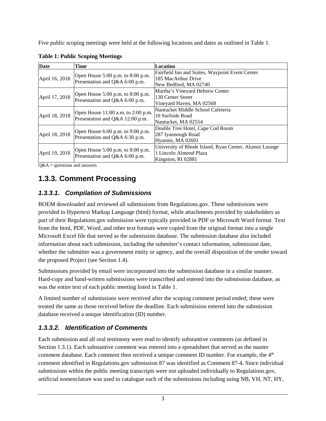Five public scoping meetings were held at the following locations and dates as outlined in Table 1.

| Date           | Time                                                                  | Location                                               |
|----------------|-----------------------------------------------------------------------|--------------------------------------------------------|
|                | Open House 5:00 p.m. to 8:00 p.m.<br>Presentation and Q&A 6:00 p.m.   | Fairfield Inn and Suites, Waypoint Event Center        |
| April 16, 2018 |                                                                       | 185 MacArthur Drive                                    |
|                |                                                                       | New Bedford, MA 02740                                  |
|                | Open House 5:00 p.m. to 8:00 p.m.                                     | Martha's Vineyard Hebrew Center                        |
| April 17, 2018 | Presentation and Q&A 6:00 p.m.                                        | 130 Center Street                                      |
|                |                                                                       | Vineyard Haven, MA 02568                               |
|                | Open House 11:00 a.m. to 2:00 p.m.<br>Presentation and Q&A 12:00 p.m. | Nantucket Middle School Cafeteria                      |
| April 18, 2018 |                                                                       | 10 Surfside Road                                       |
|                |                                                                       | Nantucket, MA 02554                                    |
|                | Open House 6:00 p.m. to 9:00 p.m.<br>Presentation and Q&A 6:30 p.m.   | Double Tree Hotel, Cape Cod Room                       |
| April 18, 2018 |                                                                       | 287 Iyannough Road                                     |
|                |                                                                       | Hyannis, MA 02601                                      |
|                | Open House 5:00 p.m. to 8:00 p.m.<br>Presentation and Q&A 6:00 p.m.   | University of Rhode Island, Ryan Center, Alumni Lounge |
| April 19, 2018 |                                                                       | 1 Lincoln Almond Plaza                                 |
|                |                                                                       | Kingston, RI 02881                                     |

<span id="page-5-3"></span>**Table 1: Public Scoping Meetings**

<span id="page-5-0"></span> $Q&A$  = questions and answers

## **1.3.3. Comment Processing**

#### <span id="page-5-1"></span>*1.3.3.1. Compilation of Submissions*

BOEM downloaded and reviewed all submissions from Regulations.gov. These submissions were provided in Hypertext Markup Language (html) format, while attachments provided by stakeholders as part of their Regulations.gov submission were typically provided in PDF or Microsoft Word format. Text from the html, PDF, Word, and other text formats were copied from the original format into a single Microsoft Excel file that served as the submission database. The submission database also included information about each submission, including the submitter's contact information, submission date, whether the submitter was a government entity or agency, and the overall disposition of the sender toward the proposed Project (see Section 1.4).

Submissions provided by email were incorporated into the submission database in a similar manner. Hard-copy and hand-written submissions were transcribed and entered into the submission database, as was the entire text of each public meeting listed in Table 1.

A limited number of submissions were received after the scoping comment period ended; these were treated the same as those received before the deadline. Each submission entered into the submission database received a unique identification (ID) number.

## <span id="page-5-2"></span>*1.3.3.2. Identification of Comments*

Each submission and all oral testimony were read to identify substantive comments (as defined in Section 1.3.1). Each substantive comment was entered into a spreadsheet that served as the master comment database. Each comment then received a unique comment ID number. For example, the  $4<sup>th</sup>$ comment identified in Regulations.gov submission 87 was identified as Comment 87-4. Since individual submissions within the public meeting transcripts were not uploaded individually to Regulations.gov, artificial nomenclature was used to catalogue each of the submissions including using NB, VH, NT, HY,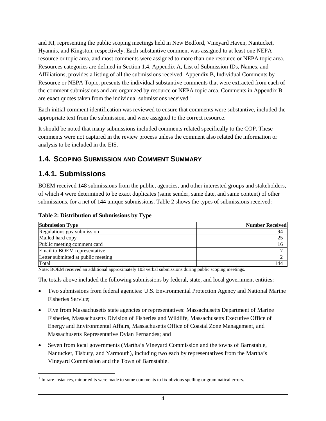and KI, representing the public scoping meetings held in New Bedford, Vineyard Haven, Nantucket, Hyannis, and Kingston, respectively. Each substantive comment was assigned to at least one NEPA resource or topic area, and most comments were assigned to more than one resource or NEPA topic area. Resources categories are defined in Section 1.4. Appendix A, List of Submission IDs, Names, and Affiliations, provides a listing of all the submissions received. Appendix B, Individual Comments by Resource or NEPA Topic, presents the individual substantive comments that were extracted from each of the comment submissions and are organized by resource or NEPA topic area. Comments in Appendix B are exact quotes taken from the individual submissions received.<sup>[1](#page-6-3)</sup>

Each initial comment identification was reviewed to ensure that comments were substantive, included the appropriate text from the submission, and were assigned to the correct resource.

It should be noted that many submissions included comments related specifically to the COP. These comments were not captured in the review process unless the comment also related the information or analysis to be included in the EIS.

#### <span id="page-6-0"></span>**1.4. SCOPING SUBMISSION AND COMMENT SUMMARY**

## <span id="page-6-1"></span>**1.4.1. Submissions**

 $\overline{a}$ 

BOEM received 148 submissions from the public, agencies, and other interested groups and stakeholders, of which 4 were determined to be exact duplicates (same sender, same date, and same content) of other submissions, for a net of 144 unique submissions. Table 2 shows the types of submissions received:

<span id="page-6-2"></span>

| Table 2: Distribution of Submissions by Type |
|----------------------------------------------|
|----------------------------------------------|

| <b>Submission Type</b>             | <b>Number Received</b> |
|------------------------------------|------------------------|
| Regulations.gov submission         | 94                     |
| Mailed hard copy                   | 25                     |
| Public meeting comment card        | 16                     |
| Email to BOEM representative       |                        |
| Letter submitted at public meeting |                        |
| Total                              | l 44                   |

Note: BOEM received an additional approximately 103 verbal submissions during public scoping meetings.

The totals above included the following submissions by federal, state, and local government entities:

- Two submissions from federal agencies: U.S. Environmental Protection Agency and National Marine Fisheries Service;
- Five from Massachusetts state agencies or representatives: Massachusetts Department of Marine Fisheries, Massachusetts Division of Fisheries and Wildlife, Massachusetts Executive Office of Energy and Environmental Affairs, Massachusetts Office of Coastal Zone Management, and Massachusetts Representative Dylan Fernandes; and
- Seven from local governments (Martha's Vineyard Commission and the towns of Barnstable, Nantucket, Tisbury, and Yarmouth), including two each by representatives from the Martha's Vineyard Commission and the Town of Barnstable.

<span id="page-6-3"></span> $<sup>1</sup>$  In rare instances, minor edits were made to some comments to fix obvious spelling or grammatical errors.</sup>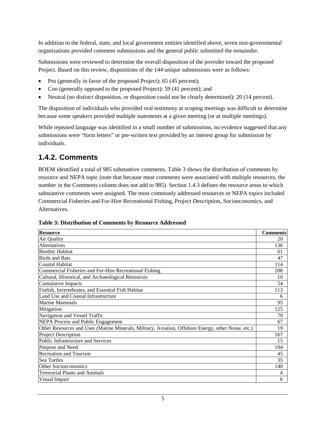In addition to the federal, state, and local government entities identified above, seven non-governmental organizations provided comment submissions and the general public submitted the remainder.

Submissions were reviewed to determine the overall disposition of the provider toward the proposed Project. Based on this review, dispositions of the 144 unique submissions were as follows:

- Pro (generally in favor of the proposed Project): 65 (45 percent);
- Con (generally opposed to the proposed Project): 59 (41 percent); and
- Neutral (no distinct disposition, or disposition could not be clearly determined): 20 (14 percent).

The disposition of individuals who provided oral testimony at scoping meetings was difficult to determine because some speakers provided multiple statements at a given meeting (or at multiple meetings).

While repeated language was identified in a small number of submissions, no evidence suggested that any submissions were "form letters" or pre-written text provided by an interest group for submission by individuals.

## <span id="page-7-0"></span>**1.4.2. Comments**

BOEM identified a total of 985 substantive comments. Table 3 shows the distribution of comments by resource and NEPA topic (note that because most comments were associated with multiple resources, the number in the Comments column does not add to 985). Section 1.4.3 defines the resource areas to which substantive comments were assigned. The most commonly addressed resources or NEPA topics included Commercial Fisheries and For-Hire Recreational Fishing, Project Description, Socioeconomics, and Alternatives.

| <b>Resource</b>                                                                                    | <b>Comments</b> |
|----------------------------------------------------------------------------------------------------|-----------------|
| Air Quality                                                                                        | 20              |
| Alternatives                                                                                       | 136             |
| <b>Benthic Habitat</b>                                                                             | 61              |
| <b>Birds and Bats</b>                                                                              | 47              |
| <b>Coastal Habitat</b>                                                                             | 114             |
| Commercial Fisheries and For-Hire Recreational Fishing                                             | 208             |
| Cultural, Historical, and Archaeological Resources                                                 | 10              |
| <b>Cumulative Impacts</b>                                                                          | 54              |
| Finfish, Invertebrates, and Essential Fish Habitat                                                 | 113             |
| Land Use and Coastal Infrastructure                                                                | 6               |
| <b>Marine Mammals</b>                                                                              | 95              |
| Mitigation                                                                                         | 125             |
| Navigation and Vessel Traffic                                                                      | 70              |
| <b>NEPA Process and Public Engagement</b>                                                          | 67              |
| Other Resources and Uses (Marine Minerals, Military, Aviation, Offshore Energy, other Noise, etc.) | 19              |
| <b>Project Description</b>                                                                         | 167             |
| Public Infrastructure and Services                                                                 | 15              |
| Purpose and Need                                                                                   | 104             |
| Recreation and Tourism                                                                             | 45              |
| Sea Turtles                                                                                        | 35              |
| <b>Other Socioeconomics</b>                                                                        | 140             |
| <b>Terrestrial Plants and Animals</b>                                                              | 4               |
| Visual Impact                                                                                      | 6               |

<span id="page-7-1"></span>**Table 3: Distribution of Comments by Resource Addressed**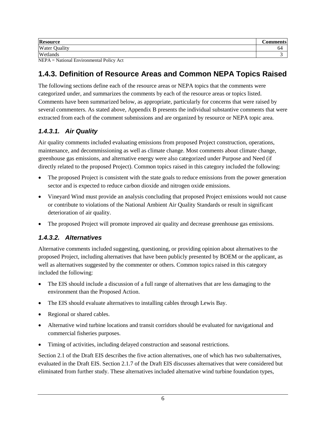| Water (<br>Quality | 64  |
|--------------------|-----|
| Wetlands           | - 1 |

<span id="page-8-0"></span>NEPA = National Environmental Policy Act

## **1.4.3. Definition of Resource Areas and Common NEPA Topics Raised**

The following sections define each of the resource areas or NEPA topics that the comments were categorized under, and summarizes the comments by each of the resource areas or topics listed. Comments have been summarized below, as appropriate, particularly for concerns that were raised by several commenters. As stated above, Appendix B presents the individual substantive comments that were extracted from each of the comment submissions and are organized by resource or NEPA topic area.

#### <span id="page-8-1"></span>*1.4.3.1. Air Quality*

Air quality comments included evaluating emissions from proposed Project construction, operations, maintenance, and decommissioning as well as climate change. Most comments about climate change, greenhouse gas emissions, and alternative energy were also categorized under Purpose and Need (if directly related to the proposed Project). Common topics raised in this category included the following:

- The proposed Project is consistent with the state goals to reduce emissions from the power generation sector and is expected to reduce carbon dioxide and nitrogen oxide emissions.
- Vineyard Wind must provide an analysis concluding that proposed Project emissions would not cause or contribute to violations of the National Ambient Air Quality Standards or result in significant deterioration of air quality.
- The proposed Project will promote improved air quality and decrease greenhouse gas emissions.

#### <span id="page-8-2"></span>*1.4.3.2. Alternatives*

Alternative comments included suggesting, questioning, or providing opinion about alternatives to the proposed Project, including alternatives that have been publicly presented by BOEM or the applicant, as well as alternatives suggested by the commenter or others. Common topics raised in this category included the following:

- The EIS should include a discussion of a full range of alternatives that are less damaging to the environment than the Proposed Action.
- The EIS should evaluate alternatives to installing cables through Lewis Bay.
- Regional or shared cables.
- Alternative wind turbine locations and transit corridors should be evaluated for navigational and commercial fisheries purposes.
- Timing of activities, including delayed construction and seasonal restrictions.

Section 2.1 of the Draft EIS describes the five action alternatives, one of which has two subalternatives, evaluated in the Draft EIS. Section 2.1.7 of the Draft EIS discusses alternatives that were considered but eliminated from further study. These alternatives included alternative wind turbine foundation types,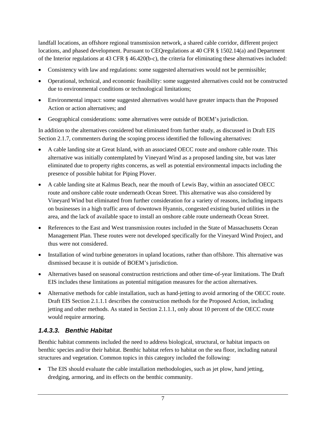landfall locations, an offshore regional transmission network, a shared cable corridor, different project locations, and phased development. Pursuant to CEQregulations at 40 CFR § 1502.14(a) and Department of the Interior regulations at 43 CFR § 46.420(b-c), the criteria for eliminating these alternatives included:

- Consistency with law and regulations: some suggested alternatives would not be permissible;
- Operational, technical, and economic feasibility: some suggested alternatives could not be constructed due to environmental conditions or technological limitations;
- Environmental impact: some suggested alternatives would have greater impacts than the Proposed Action or action alternatives; and
- Geographical considerations: some alternatives were outside of BOEM's jurisdiction.

In addition to the alternatives considered but eliminated from further study, as discussed in Draft EIS Section 2.1.7, commenters during the scoping process identified the following alternatives:

- A cable landing site at Great Island, with an associated OECC route and onshore cable route. This alternative was initially contemplated by Vineyard Wind as a proposed landing site, but was later eliminated due to property rights concerns, as well as potential environmental impacts including the presence of possible habitat for Piping Plover.
- A cable landing site at Kalmus Beach, near the mouth of Lewis Bay, within an associated OECC route and onshore cable route underneath Ocean Street. This alternative was also considered by Vineyard Wind but eliminated from further consideration for a variety of reasons, including impacts on businesses in a high traffic area of downtown Hyannis, congested existing buried utilities in the area, and the lack of available space to install an onshore cable route underneath Ocean Street.
- References to the East and West transmission routes included in the State of Massachusetts Ocean Management Plan. These routes were not developed specifically for the Vineyard Wind Project, and thus were not considered.
- Installation of wind turbine generators in upland locations, rather than offshore. This alternative was dismissed because it is outside of BOEM's jurisdiction.
- Alternatives based on seasonal construction restrictions and other time-of-year limitations. The Draft EIS includes these limitations as potential mitigation measures for the action alternatives.
- Alternative methods for cable installation, such as hand-jetting to avoid armoring of the OECC route. Draft EIS Section 2.1.1.1 describes the construction methods for the Proposed Action, including jetting and other methods. As stated in Section 2.1.1.1, only about 10 percent of the OECC route would require armoring.

#### <span id="page-9-0"></span>*1.4.3.3. Benthic Habitat*

Benthic habitat comments included the need to address biological, structural, or habitat impacts on benthic species and/or their habitat. Benthic habitat refers to habitat on the sea floor, including natural structures and vegetation. Common topics in this category included the following:

• The EIS should evaluate the cable installation methodologies, such as jet plow, hand jetting, dredging, armoring, and its effects on the benthic community.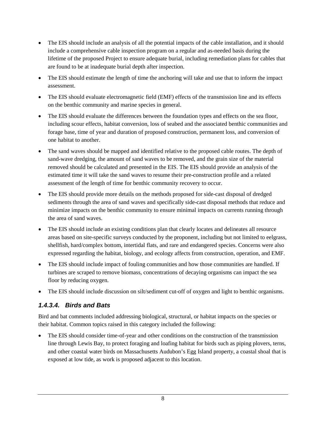- The EIS should include an analysis of all the potential impacts of the cable installation, and it should include a comprehensive cable inspection program on a regular and as-needed basis during the lifetime of the proposed Project to ensure adequate burial, including remediation plans for cables that are found to be at inadequate burial depth after inspection.
- The EIS should estimate the length of time the anchoring will take and use that to inform the impact assessment.
- The EIS should evaluate electromagnetic field (EMF) effects of the transmission line and its effects on the benthic community and marine species in general.
- The EIS should evaluate the differences between the foundation types and effects on the sea floor, including scour effects, habitat conversion, loss of seabed and the associated benthic communities and forage base, time of year and duration of proposed construction, permanent loss, and conversion of one habitat to another.
- The sand waves should be mapped and identified relative to the proposed cable routes. The depth of sand-wave dredging, the amount of sand waves to be removed, and the grain size of the material removed should be calculated and presented in the EIS. The EIS should provide an analysis of the estimated time it will take the sand waves to resume their pre-construction profile and a related assessment of the length of time for benthic community recovery to occur.
- The EIS should provide more details on the methods proposed for side-cast disposal of dredged sediments through the area of sand waves and specifically side-cast disposal methods that reduce and minimize impacts on the benthic community to ensure minimal impacts on currents running through the area of sand waves.
- The EIS should include an existing conditions plan that clearly locates and delineates all resource areas based on site-specific surveys conducted by the proponent, including but not limited to eelgrass, shellfish, hard/complex bottom, intertidal flats, and rare and endangered species. Concerns were also expressed regarding the habitat, biology, and ecology affects from construction, operation, and EMF.
- The EIS should include impact of fouling communities and how those communities are handled. If turbines are scraped to remove biomass, concentrations of decaying organisms can impact the sea floor by reducing oxygen.
- The EIS should include discussion on silt/sediment cut-off of oxygen and light to benthic organisms.

#### <span id="page-10-0"></span>*1.4.3.4. Birds and Bats*

Bird and bat comments included addressing biological, structural, or habitat impacts on the species or their habitat. Common topics raised in this category included the following:

• The EIS should consider time-of-year and other conditions on the construction of the transmission line through Lewis Bay, to protect foraging and loafing habitat for birds such as piping plovers, terns, and other coastal water birds on Massachusetts Audubon's Egg Island property, a coastal shoal that is exposed at low tide, as work is proposed adjacent to this location.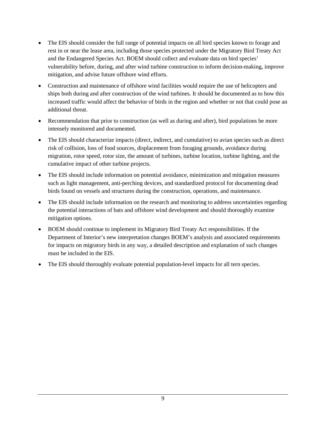- The EIS should consider the full range of potential impacts on all bird species known to forage and rest in or near the lease area, including those species protected under the Migratory Bird Treaty Act and the Endangered Species Act. BOEM should collect and evaluate data on bird species' vulnerability before, during, and after wind turbine construction to inform decision-making, improve mitigation, and advise future offshore wind efforts.
- Construction and maintenance of offshore wind facilities would require the use of helicopters and ships both during and after construction of the wind turbines. It should be documented as to how this increased traffic would affect the behavior of birds in the region and whether or not that could pose an additional threat.
- Recommendation that prior to construction (as well as during and after), bird populations be more intensely monitored and documented.
- The EIS should characterize impacts (direct, indirect, and cumulative) to avian species such as direct risk of collision, loss of food sources, displacement from foraging grounds, avoidance during migration, rotor speed, rotor size, the amount of turbines, turbine location, turbine lighting, and the cumulative impact of other turbine projects.
- The EIS should include information on potential avoidance, minimization and mitigation measures such as light management, anti-perching devices, and standardized protocol for documenting dead birds found on vessels and structures during the construction, operations, and maintenance.
- The EIS should include information on the research and monitoring to address uncertainties regarding the potential interactions of bats and offshore wind development and should thoroughly examine mitigation options.
- BOEM should continue to implement its Migratory Bird Treaty Act responsibilities. If the Department of Interior's new interpretation changes BOEM's analysis and associated requirements for impacts on migratory birds in any way, a detailed description and explanation of such changes must be included in the EIS.
- The EIS should thoroughly evaluate potential population-level impacts for all tern species.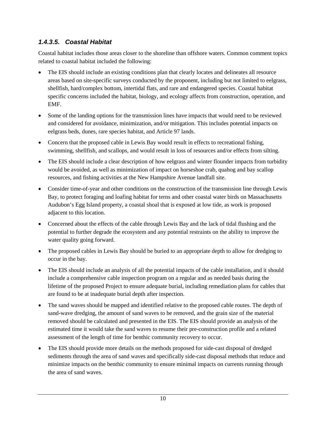#### <span id="page-12-0"></span>*1.4.3.5. Coastal Habitat*

Coastal habitat includes those areas closer to the shoreline than offshore waters. Common comment topics related to coastal habitat included the following:

- The EIS should include an existing conditions plan that clearly locates and delineates all resource areas based on site-specific surveys conducted by the proponent, including but not limited to eelgrass, shellfish, hard/complex bottom, intertidal flats, and rare and endangered species. Coastal habitat specific concerns included the habitat, biology, and ecology affects from construction, operation, and EMF.
- Some of the landing options for the transmission lines have impacts that would need to be reviewed and considered for avoidance, minimization, and/or mitigation. This includes potential impacts on eelgrass beds, dunes, rare species habitat, and Article 97 lands.
- Concern that the proposed cable in Lewis Bay would result in effects to recreational fishing, swimming, shellfish, and scallops, and would result in loss of resources and/or effects from silting.
- The EIS should include a clear description of how eelgrass and winter flounder impacts from turbidity would be avoided, as well as minimization of impact on horseshoe crab, quahog and bay scallop resources, and fishing activities at the New Hampshire Avenue landfall site.
- Consider time-of-year and other conditions on the construction of the transmission line through Lewis Bay, to protect foraging and loafing habitat for terns and other coastal water birds on Massachusetts Audubon's Egg Island property, a coastal shoal that is exposed at low tide, as work is proposed adjacent to this location.
- Concerned about the effects of the cable through Lewis Bay and the lack of tidal flushing and the potential to further degrade the ecosystem and any potential restraints on the ability to improve the water quality going forward.
- The proposed cables in Lewis Bay should be buried to an appropriate depth to allow for dredging to occur in the bay.
- The EIS should include an analysis of all the potential impacts of the cable installation, and it should include a comprehensive cable inspection program on a regular and as needed basis during the lifetime of the proposed Project to ensure adequate burial, including remediation plans for cables that are found to be at inadequate burial depth after inspection.
- The sand waves should be mapped and identified relative to the proposed cable routes. The depth of sand-wave dredging, the amount of sand waves to be removed, and the grain size of the material removed should be calculated and presented in the EIS. The EIS should provide an analysis of the estimated time it would take the sand waves to resume their pre-construction profile and a related assessment of the length of time for benthic community recovery to occur.
- The EIS should provide more details on the methods proposed for side-cast disposal of dredged sediments through the area of sand waves and specifically side-cast disposal methods that reduce and minimize impacts on the benthic community to ensure minimal impacts on currents running through the area of sand waves.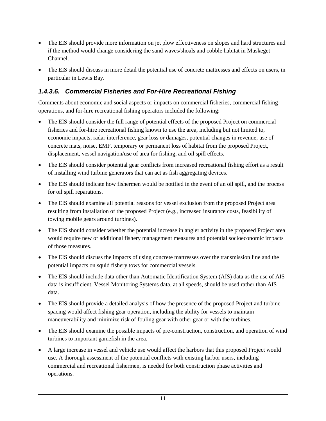- The EIS should provide more information on jet plow effectiveness on slopes and hard structures and if the method would change considering the sand waves/shoals and cobble habitat in Muskeget Channel.
- The EIS should discuss in more detail the potential use of concrete mattresses and effects on users, in particular in Lewis Bay.

#### <span id="page-13-0"></span>*1.4.3.6. Commercial Fisheries and For-Hire Recreational Fishing*

Comments about economic and social aspects or impacts on commercial fisheries, commercial fishing operations, and for-hire recreational fishing operators included the following:

- The EIS should consider the full range of potential effects of the proposed Project on commercial fisheries and for-hire recreational fishing known to use the area, including but not limited to, economic impacts, radar interference, gear loss or damages, potential changes in revenue, use of concrete mats, noise, EMF, temporary or permanent loss of habitat from the proposed Project, displacement, vessel navigation/use of area for fishing, and oil spill effects.
- The EIS should consider potential gear conflicts from increased recreational fishing effort as a result of installing wind turbine generators that can act as fish aggregating devices.
- The EIS should indicate how fishermen would be notified in the event of an oil spill, and the process for oil spill reparations.
- The EIS should examine all potential reasons for vessel exclusion from the proposed Project area resulting from installation of the proposed Project (e.g., increased insurance costs, feasibility of towing mobile gears around turbines).
- The EIS should consider whether the potential increase in angler activity in the proposed Project area would require new or additional fishery management measures and potential socioeconomic impacts of those measures.
- The EIS should discuss the impacts of using concrete mattresses over the transmission line and the potential impacts on squid fishery tows for commercial vessels.
- The EIS should include data other than Automatic Identification System (AIS) data as the use of AIS data is insufficient. Vessel Monitoring Systems data, at all speeds, should be used rather than AIS data.
- The EIS should provide a detailed analysis of how the presence of the proposed Project and turbine spacing would affect fishing gear operation, including the ability for vessels to maintain maneuverability and minimize risk of fouling gear with other gear or with the turbines.
- The EIS should examine the possible impacts of pre-construction, construction, and operation of wind turbines to important gamefish in the area.
- A large increase in vessel and vehicle use would affect the harbors that this proposed Project would use. A thorough assessment of the potential conflicts with existing harbor users, including commercial and recreational fishermen, is needed for both construction phase activities and operations.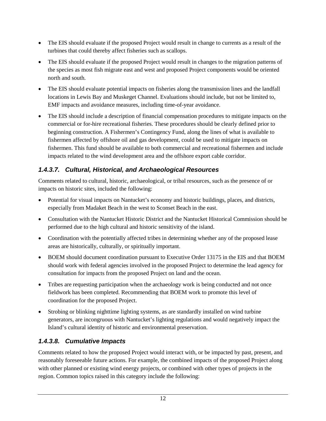- The EIS should evaluate if the proposed Project would result in change to currents as a result of the turbines that could thereby affect fisheries such as scallops.
- The EIS should evaluate if the proposed Project would result in changes to the migration patterns of the species as most fish migrate east and west and proposed Project components would be oriented north and south.
- The EIS should evaluate potential impacts on fisheries along the transmission lines and the landfall locations in Lewis Bay and Muskeget Channel. Evaluations should include, but not be limited to, EMF impacts and avoidance measures, including time-of-year avoidance.
- The EIS should include a description of financial compensation procedures to mitigate impacts on the commercial or for-hire recreational fisheries. These procedures should be clearly defined prior to beginning construction. A Fishermen's Contingency Fund, along the lines of what is available to fishermen affected by offshore oil and gas development, could be used to mitigate impacts on fishermen. This fund should be available to both commercial and recreational fishermen and include impacts related to the wind development area and the offshore export cable corridor.

#### <span id="page-14-0"></span>*1.4.3.7. Cultural, Historical, and Archaeological Resources*

Comments related to cultural, historic, archaeological, or tribal resources, such as the presence of or impacts on historic sites, included the following:

- Potential for visual impacts on Nantucket's economy and historic buildings, places, and districts, especially from Madaket Beach in the west to Sconset Beach in the east.
- Consultation with the Nantucket Historic District and the Nantucket Historical Commission should be performed due to the high cultural and historic sensitivity of the island.
- Coordination with the potentially affected tribes in determining whether any of the proposed lease areas are historically, culturally, or spiritually important.
- BOEM should document coordination pursuant to Executive Order 13175 in the EIS and that BOEM should work with federal agencies involved in the proposed Project to determine the lead agency for consultation for impacts from the proposed Project on land and the ocean.
- Tribes are requesting participation when the archaeology work is being conducted and not once fieldwork has been completed. Recommending that BOEM work to promote this level of coordination for the proposed Project.
- Strobing or blinking nighttime lighting systems, as are standardly installed on wind turbine generators, are incongruous with Nantucket's lighting regulations and would negatively impact the Island's cultural identity of historic and environmental preservation.

#### <span id="page-14-1"></span>*1.4.3.8. Cumulative Impacts*

Comments related to how the proposed Project would interact with, or be impacted by past, present, and reasonably foreseeable future actions. For example, the combined impacts of the proposed Project along with other planned or existing wind energy projects, or combined with other types of projects in the region. Common topics raised in this category include the following: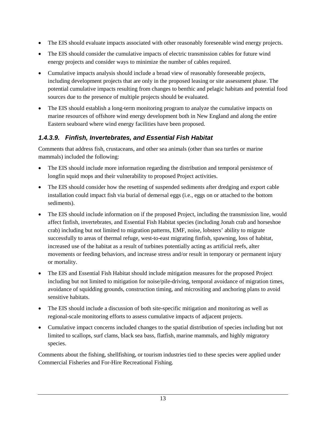- The EIS should evaluate impacts associated with other reasonably foreseeable wind energy projects.
- The EIS should consider the cumulative impacts of electric transmission cables for future wind energy projects and consider ways to minimize the number of cables required.
- Cumulative impacts analysis should include a broad view of reasonably foreseeable projects, including development projects that are only in the proposed leasing or site assessment phase. The potential cumulative impacts resulting from changes to benthic and pelagic habitats and potential food sources due to the presence of multiple projects should be evaluated.
- The EIS should establish a long-term monitoring program to analyze the cumulative impacts on marine resources of offshore wind energy development both in New England and along the entire Eastern seaboard where wind energy facilities have been proposed.

#### <span id="page-15-0"></span>*1.4.3.9. Finfish, Invertebrates, and Essential Fish Habitat*

Comments that address fish, crustaceans, and other sea animals (other than sea turtles or marine mammals) included the following:

- The EIS should include more information regarding the distribution and temporal persistence of longfin squid mops and their vulnerability to proposed Project activities.
- The EIS should consider how the resetting of suspended sediments after dredging and export cable installation could impact fish via burial of demersal eggs (i.e., eggs on or attached to the bottom sediments).
- The EIS should include information on if the proposed Project, including the transmission line, would affect finfish, invertebrates, and Essential Fish Habitat species (including Jonah crab and horseshoe crab) including but not limited to migration patterns, EMF, noise, lobsters' ability to migrate successfully to areas of thermal refuge, west-to-east migrating finfish, spawning, loss of habitat, increased use of the habitat as a result of turbines potentially acting as artificial reefs, alter movements or feeding behaviors, and increase stress and/or result in temporary or permanent injury or mortality.
- The EIS and Essential Fish Habitat should include mitigation measures for the proposed Project including but not limited to mitigation for noise/pile-driving, temporal avoidance of migration times, avoidance of squidding grounds, construction timing, and micrositing and anchoring plans to avoid sensitive habitats.
- The EIS should include a discussion of both site-specific mitigation and monitoring as well as regional-scale monitoring efforts to assess cumulative impacts of adjacent projects.
- Cumulative impact concerns included changes to the spatial distribution of species including but not limited to scallops, surf clams, black sea bass, flatfish, marine mammals, and highly migratory species.

Comments about the fishing, shellfishing, or tourism industries tied to these species were applied under Commercial Fisheries and For-Hire Recreational Fishing.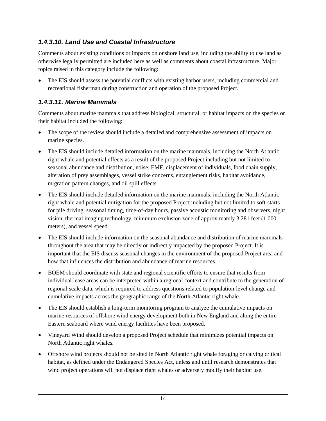#### <span id="page-16-0"></span>*1.4.3.10. Land Use and Coastal Infrastructure*

Comments about existing conditions or impacts on onshore land use, including the ability to use land as otherwise legally permitted are included here as well as comments about coastal infrastructure. Major topics raised in this category include the following:

• The EIS should assess the potential conflicts with existing harbor users, including commercial and recreational fisherman during construction and operation of the proposed Project.

#### <span id="page-16-1"></span>*1.4.3.11. Marine Mammals*

Comments about marine mammals that address biological, structural, or habitat impacts on the species or their habitat included the following:

- The scope of the review should include a detailed and comprehensive assessment of impacts on marine species.
- The EIS should include detailed information on the marine mammals, including the North Atlantic right whale and potential effects as a result of the proposed Project including but not limited to seasonal abundance and distribution, noise, EMF, displacement of individuals, food chain supply, alteration of prey assemblages, vessel strike concerns, entanglement risks, habitat avoidance, migration pattern changes, and oil spill effects.
- The EIS should include detailed information on the marine mammals, including the North Atlantic right whale and potential mitigation for the proposed Project including but not limited to soft-starts for pile driving, seasonal timing, time-of-day hours, passive acoustic monitoring and observers, night vision, thermal imaging technology, minimum exclusion zone of approximately 3,281 feet (1,000 meters), and vessel speed.
- The EIS should include information on the seasonal abundance and distribution of marine mammals throughout the area that may be directly or indirectly impacted by the proposed Project. It is important that the EIS discuss seasonal changes in the environment of the proposed Project area and how that influences the distribution and abundance of marine resources.
- BOEM should coordinate with state and regional scientific efforts to ensure that results from individual lease areas can be interpreted within a regional context and contribute to the generation of regional-scale data, which is required to address questions related to population-level change and cumulative impacts across the geographic range of the North Atlantic right whale.
- The EIS should establish a long-term monitoring program to analyze the cumulative impacts on marine resources of offshore wind energy development both in New England and along the entire Eastern seaboard where wind energy facilities have been proposed.
- Vineyard Wind should develop a proposed Project schedule that minimizes potential impacts on North Atlantic right whales.
- Offshore wind projects should not be sited in North Atlantic right whale foraging or calving critical habitat, as defined under the Endangered Species Act, unless and until research demonstrates that wind project operations will not displace right whales or adversely modify their habitat use.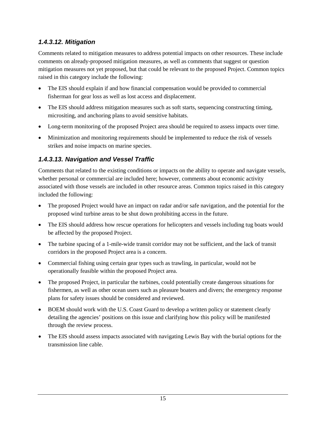#### <span id="page-17-0"></span>*1.4.3.12. Mitigation*

Comments related to mitigation measures to address potential impacts on other resources. These include comments on already-proposed mitigation measures, as well as comments that suggest or question mitigation measures not yet proposed, but that could be relevant to the proposed Project. Common topics raised in this category include the following:

- The EIS should explain if and how financial compensation would be provided to commercial fisherman for gear loss as well as lost access and displacement.
- The EIS should address mitigation measures such as soft starts, sequencing constructing timing, micrositing, and anchoring plans to avoid sensitive habitats.
- Long-term monitoring of the proposed Project area should be required to assess impacts over time.
- Minimization and monitoring requirements should be implemented to reduce the risk of vessels strikes and noise impacts on marine species.

#### <span id="page-17-1"></span>*1.4.3.13. Navigation and Vessel Traffic*

Comments that related to the existing conditions or impacts on the ability to operate and navigate vessels, whether personal or commercial are included here; however, comments about economic activity associated with those vessels are included in other resource areas. Common topics raised in this category included the following:

- The proposed Project would have an impact on radar and/or safe navigation, and the potential for the proposed wind turbine areas to be shut down prohibiting access in the future.
- The EIS should address how rescue operations for helicopters and vessels including tug boats would be affected by the proposed Project.
- The turbine spacing of a 1-mile-wide transit corridor may not be sufficient, and the lack of transit corridors in the proposed Project area is a concern.
- Commercial fishing using certain gear types such as trawling, in particular, would not be operationally feasible within the proposed Project area.
- The proposed Project, in particular the turbines, could potentially create dangerous situations for fishermen, as well as other ocean users such as pleasure boaters and divers; the emergency response plans for safety issues should be considered and reviewed.
- BOEM should work with the U.S. Coast Guard to develop a written policy or statement clearly detailing the agencies' positions on this issue and clarifying how this policy will be manifested through the review process.
- The EIS should assess impacts associated with navigating Lewis Bay with the burial options for the transmission line cable.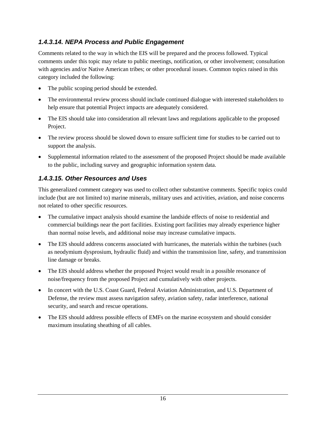#### <span id="page-18-0"></span>*1.4.3.14. NEPA Process and Public Engagement*

Comments related to the way in which the EIS will be prepared and the process followed. Typical comments under this topic may relate to public meetings, notification, or other involvement; consultation with agencies and/or Native American tribes; or other procedural issues. Common topics raised in this category included the following:

- The public scoping period should be extended.
- The environmental review process should include continued dialogue with interested stakeholders to help ensure that potential Project impacts are adequately considered.
- The EIS should take into consideration all relevant laws and regulations applicable to the proposed Project.
- The review process should be slowed down to ensure sufficient time for studies to be carried out to support the analysis.
- Supplemental information related to the assessment of the proposed Project should be made available to the public, including survey and geographic information system data.

#### <span id="page-18-1"></span>*1.4.3.15. Other Resources and Uses*

This generalized comment category was used to collect other substantive comments. Specific topics could include (but are not limited to) marine minerals, military uses and activities, aviation, and noise concerns not related to other specific resources.

- The cumulative impact analysis should examine the landside effects of noise to residential and commercial buildings near the port facilities. Existing port facilities may already experience higher than normal noise levels, and additional noise may increase cumulative impacts.
- The EIS should address concerns associated with hurricanes, the materials within the turbines (such as neodymium dysprosium, hydraulic fluid) and within the transmission line, safety, and transmission line damage or breaks.
- The EIS should address whether the proposed Project would result in a possible resonance of noise/frequency from the proposed Project and cumulatively with other projects.
- In concert with the U.S. Coast Guard, Federal Aviation Administration, and U.S. Department of Defense, the review must assess navigation safety, aviation safety, radar interference, national security, and search and rescue operations.
- The EIS should address possible effects of EMFs on the marine ecosystem and should consider maximum insulating sheathing of all cables.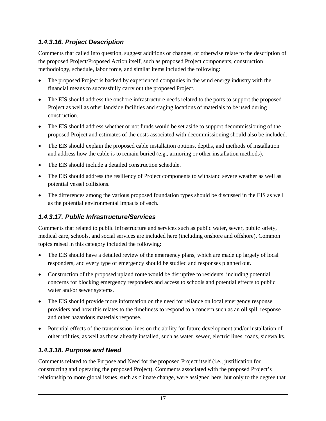#### <span id="page-19-0"></span>*1.4.3.16. Project Description*

Comments that called into question, suggest additions or changes, or otherwise relate to the description of the proposed Project/Proposed Action itself, such as proposed Project components, construction methodology, schedule, labor force, and similar items included the following:

- The proposed Project is backed by experienced companies in the wind energy industry with the financial means to successfully carry out the proposed Project.
- The EIS should address the onshore infrastructure needs related to the ports to support the proposed Project as well as other landside facilities and staging locations of materials to be used during construction.
- The EIS should address whether or not funds would be set aside to support decommissioning of the proposed Project and estimates of the costs associated with decommissioning should also be included.
- The EIS should explain the proposed cable installation options, depths, and methods of installation and address how the cable is to remain buried (e.g., armoring or other installation methods).
- The EIS should include a detailed construction schedule.
- The EIS should address the resiliency of Project components to withstand severe weather as well as potential vessel collisions.
- The differences among the various proposed foundation types should be discussed in the EIS as well as the potential environmental impacts of each.

## <span id="page-19-1"></span>*1.4.3.17. Public Infrastructure/Services*

Comments that related to public infrastructure and services such as public water, sewer, public safety, medical care, schools, and social services are included here (including onshore and offshore). Common topics raised in this category included the following:

- The EIS should have a detailed review of the emergency plans, which are made up largely of local responders, and every type of emergency should be studied and responses planned out.
- Construction of the proposed upland route would be disruptive to residents, including potential concerns for blocking emergency responders and access to schools and potential effects to public water and/or sewer systems.
- The EIS should provide more information on the need for reliance on local emergency response providers and how this relates to the timeliness to respond to a concern such as an oil spill response and other hazardous materials response.
- Potential effects of the transmission lines on the ability for future development and/or installation of other utilities, as well as those already installed, such as water, sewer, electric lines, roads, sidewalks.

## <span id="page-19-2"></span>*1.4.3.18. Purpose and Need*

Comments related to the Purpose and Need for the proposed Project itself (i.e., justification for constructing and operating the proposed Project). Comments associated with the proposed Project's relationship to more global issues, such as climate change, were assigned here, but only to the degree that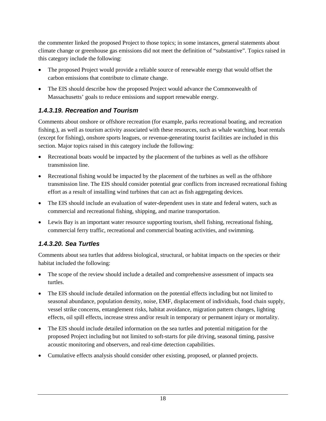the commenter linked the proposed Project to those topics; in some instances, general statements about climate change or greenhouse gas emissions did not meet the definition of "substantive". Topics raised in this category include the following:

- The proposed Project would provide a reliable source of renewable energy that would offset the carbon emissions that contribute to climate change.
- The EIS should describe how the proposed Project would advance the Commonwealth of Massachusetts' goals to reduce emissions and support renewable energy.

#### <span id="page-20-0"></span>*1.4.3.19. Recreation and Tourism*

Comments about onshore or offshore recreation (for example, parks recreational boating, and recreation fishing.), as well as tourism activity associated with these resources, such as whale watching, boat rentals (except for fishing), onshore sports leagues, or revenue-generating tourist facilities are included in this section. Major topics raised in this category include the following:

- Recreational boats would be impacted by the placement of the turbines as well as the offshore transmission line.
- Recreational fishing would be impacted by the placement of the turbines as well as the offshore transmission line. The EIS should consider potential gear conflicts from increased recreational fishing effort as a result of installing wind turbines that can act as fish aggregating devices.
- The EIS should include an evaluation of water-dependent uses in state and federal waters, such as commercial and recreational fishing, shipping, and marine transportation.
- Lewis Bay is an important water resource supporting tourism, shell fishing, recreational fishing, commercial ferry traffic, recreational and commercial boating activities, and swimming.

#### <span id="page-20-1"></span>*1.4.3.20. Sea Turtles*

Comments about sea turtles that address biological, structural, or habitat impacts on the species or their habitat included the following:

- The scope of the review should include a detailed and comprehensive assessment of impacts sea turtles.
- The EIS should include detailed information on the potential effects including but not limited to seasonal abundance, population density, noise, EMF, displacement of individuals, food chain supply, vessel strike concerns, entanglement risks, habitat avoidance, migration pattern changes, lighting effects, oil spill effects, increase stress and/or result in temporary or permanent injury or mortality.
- The EIS should include detailed information on the sea turtles and potential mitigation for the proposed Project including but not limited to soft-starts for pile driving, seasonal timing, passive acoustic monitoring and observers, and real-time detection capabilities.
- Cumulative effects analysis should consider other existing, proposed, or planned projects.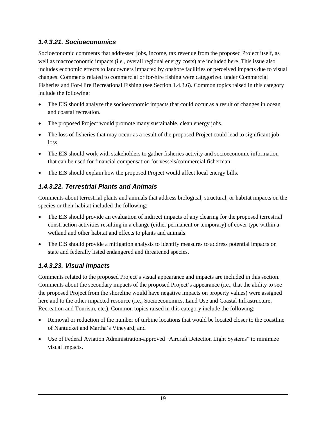#### <span id="page-21-0"></span>*1.4.3.21. Socioeconomics*

Socioeconomic comments that addressed jobs, income, tax revenue from the proposed Project itself, as well as macroeconomic impacts (i.e., overall regional energy costs) are included here. This issue also includes economic effects to landowners impacted by onshore facilities or perceived impacts due to visual changes. Comments related to commercial or for-hire fishing were categorized under Commercial Fisheries and For-Hire Recreational Fishing (see Section 1.4.3.6). Common topics raised in this category include the following:

- The EIS should analyze the socioeconomic impacts that could occur as a result of changes in ocean and coastal recreation.
- The proposed Project would promote many sustainable, clean energy jobs.
- The loss of fisheries that may occur as a result of the proposed Project could lead to significant job loss.
- The EIS should work with stakeholders to gather fisheries activity and socioeconomic information that can be used for financial compensation for vessels/commercial fisherman.
- The EIS should explain how the proposed Project would affect local energy bills.

#### <span id="page-21-1"></span>*1.4.3.22. Terrestrial Plants and Animals*

Comments about terrestrial plants and animals that address biological, structural, or habitat impacts on the species or their habitat included the following:

- The EIS should provide an evaluation of indirect impacts of any clearing for the proposed terrestrial construction activities resulting in a change (either permanent or temporary) of cover type within a wetland and other habitat and effects to plants and animals.
- The EIS should provide a mitigation analysis to identify measures to address potential impacts on state and federally listed endangered and threatened species.

#### <span id="page-21-2"></span>*1.4.3.23. Visual Impacts*

Comments related to the proposed Project's visual appearance and impacts are included in this section. Comments about the secondary impacts of the proposed Project's appearance (i.e., that the ability to see the proposed Project from the shoreline would have negative impacts on property values) were assigned here and to the other impacted resource (i.e., Socioeconomics, Land Use and Coastal Infrastructure, Recreation and Tourism, etc.). Common topics raised in this category include the following:

- Removal or reduction of the number of turbine locations that would be located closer to the coastline of Nantucket and Martha's Vineyard; and
- Use of Federal Aviation Administration-approved "Aircraft Detection Light Systems" to minimize visual impacts.